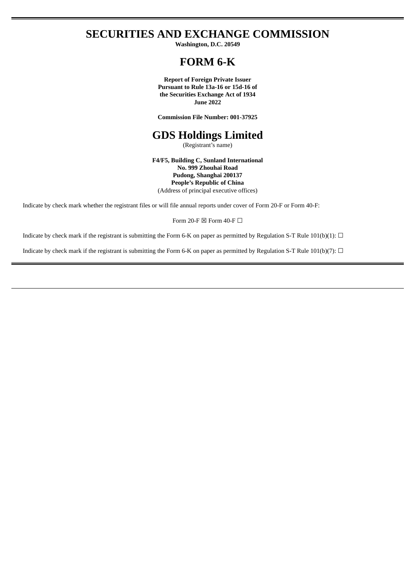# **SECURITIES AND EXCHANGE COMMISSION**

**Washington, D.C. 20549**

# **FORM 6-K**

**Report of Foreign Private Issuer Pursuant to Rule 13a-16 or 15d-16 of the Securities Exchange Act of 1934 June 2022**

**Commission File Number: 001-37925**

# **GDS Holdings Limited**

(Registrant's name)

**F4/F5, Building C, Sunland International No. 999 Zhouhai Road Pudong, Shanghai 200137 People's Republic of China** (Address of principal executive offices)

Indicate by check mark whether the registrant files or will file annual reports under cover of Form 20-F or Form 40-F:

Form 20-F  $\boxtimes$  Form 40-F  $\Box$ 

Indicate by check mark if the registrant is submitting the Form 6-K on paper as permitted by Regulation S-T Rule 101(b)(1):  $\Box$ 

Indicate by check mark if the registrant is submitting the Form 6-K on paper as permitted by Regulation S-T Rule 101(b)(7):  $\Box$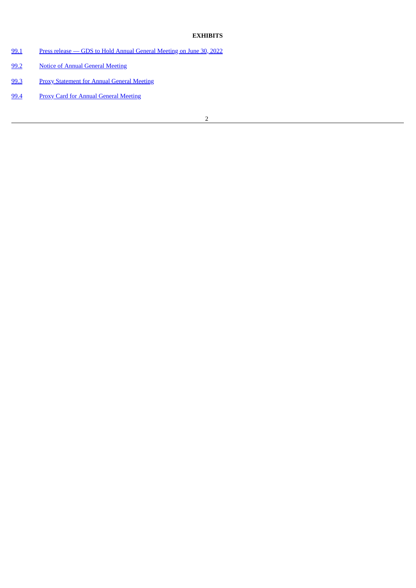## **EXHIBITS**

- [99.1](#page-3-0) Press release GDS to Hold Annual General [Meeting](#page-3-0) on June 30, 2022
- [99.2](#page-5-0) Notice of Annual General [Meeting](#page-5-0)
- [99.3](#page-7-0) Proxy [Statement](#page-7-0) for Annual General Meeting
- [99.4](#page-13-0) Proxy Card for Annual General [Meeting](#page-13-0)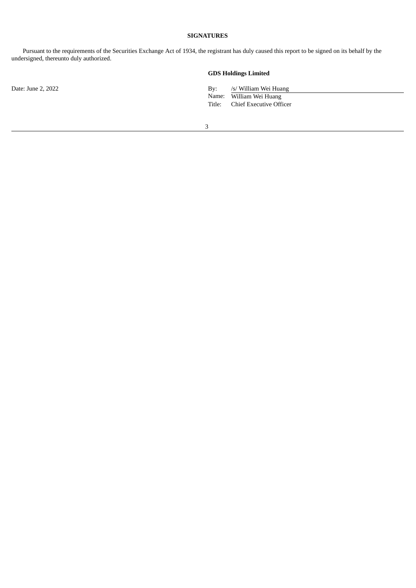## **SIGNATURES**

Pursuant to the requirements of the Securities Exchange Act of 1934, the registrant has duly caused this report to be signed on its behalf by the undersigned, thereunto duly authorized.

## **GDS Holdings Limited**

Date: June 2, 2022 By: /s/ William Wei Huang Name: William Wei Huang

Title: Chief Executive Officer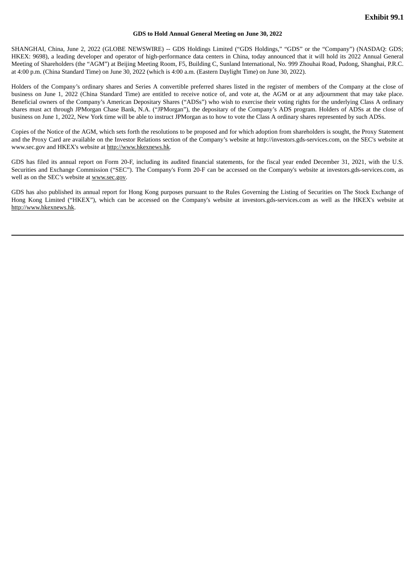#### **GDS to Hold Annual General Meeting on June 30, 2022**

<span id="page-3-0"></span>SHANGHAI, China, June 2, 2022 (GLOBE NEWSWIRE) -- GDS Holdings Limited ("GDS Holdings," "GDS" or the "Company") (NASDAQ: GDS; HKEX: 9698), a leading developer and operator of high-performance data centers in China, today announced that it will hold its 2022 Annual General Meeting of Shareholders (the "AGM") at Beijing Meeting Room, F5, Building C, Sunland International, No. 999 Zhouhai Road, Pudong, Shanghai, P.R.C. at 4:00 p.m. (China Standard Time) on June 30, 2022 (which is 4:00 a.m. (Eastern Daylight Time) on June 30, 2022).

Holders of the Company's ordinary shares and Series A convertible preferred shares listed in the register of members of the Company at the close of business on June 1, 2022 (China Standard Time) are entitled to receive notice of, and vote at, the AGM or at any adjournment that may take place. Beneficial owners of the Company's American Depositary Shares ("ADSs") who wish to exercise their voting rights for the underlying Class A ordinary shares must act through JPMorgan Chase Bank, N.A. ("JPMorgan"), the depositary of the Company's ADS program. Holders of ADSs at the close of business on June 1, 2022, New York time will be able to instruct JPMorgan as to how to vote the Class A ordinary shares represented by such ADSs.

Copies of the Notice of the AGM, which sets forth the resolutions to be proposed and for which adoption from shareholders is sought, the Proxy Statement and the Proxy Card are available on the Investor Relations section of the Company's website at http://investors.gds-services.com, on the SEC's website at www.sec.gov and HKEX's website at http://www.hkexnews.hk.

GDS has filed its annual report on Form 20-F, including its audited financial statements, for the fiscal year ended December 31, 2021, with the U.S. Securities and Exchange Commission ("SEC"). The Company's Form 20-F can be accessed on the Company's website at investors.gds-services.com, as well as on the SEC's website at www.sec.gov.

GDS has also published its annual report for Hong Kong purposes pursuant to the Rules Governing the Listing of Securities on The Stock Exchange of Hong Kong Limited ("HKEX"), which can be accessed on the Company's website at investors.gds-services.com as well as the HKEX's website at http://www.hkexnews.hk.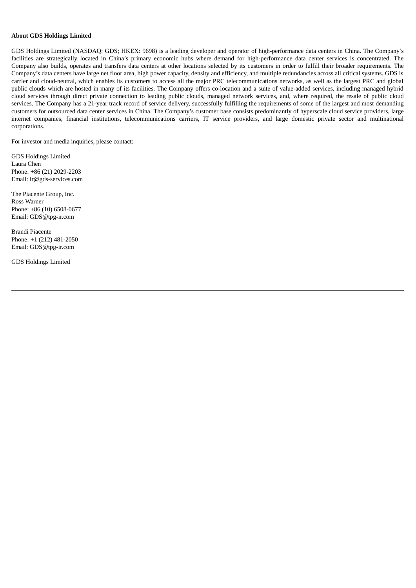## **About GDS Holdings Limited**

GDS Holdings Limited (NASDAQ: GDS; HKEX: 9698) is a leading developer and operator of high-performance data centers in China. The Company's facilities are strategically located in China's primary economic hubs where demand for high-performance data center services is concentrated. The Company also builds, operates and transfers data centers at other locations selected by its customers in order to fulfill their broader requirements. The Company's data centers have large net floor area, high power capacity, density and efficiency, and multiple redundancies across all critical systems. GDS is carrier and cloud-neutral, which enables its customers to access all the major PRC telecommunications networks, as well as the largest PRC and global public clouds which are hosted in many of its facilities. The Company offers co-location and a suite of value-added services, including managed hybrid cloud services through direct private connection to leading public clouds, managed network services, and, where required, the resale of public cloud services. The Company has a 21-year track record of service delivery, successfully fulfilling the requirements of some of the largest and most demanding customers for outsourced data center services in China. The Company's customer base consists predominantly of hyperscale cloud service providers, large internet companies, financial institutions, telecommunications carriers, IT service providers, and large domestic private sector and multinational corporations.

For investor and media inquiries, please contact:

GDS Holdings Limited Laura Chen Phone: +86 (21) 2029-2203 Email: ir@gds-services.com

The Piacente Group, Inc. Ross Warner Phone: +86 (10) 6508-0677 Email: GDS@tpg-ir.com

Brandi Piacente Phone: +1 (212) 481-2050 Email: GDS@tpg-ir.com

GDS Holdings Limited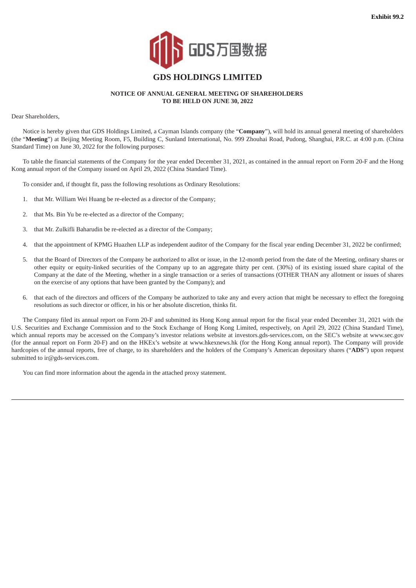

#### **NOTICE OF ANNUAL GENERAL MEETING OF SHAREHOLDERS TO BE HELD ON JUNE 30, 2022**

<span id="page-5-0"></span>Dear Shareholders,

Notice is hereby given that GDS Holdings Limited, a Cayman Islands company (the "**Company**"), will hold its annual general meeting of shareholders (the "**Meeting**") at Beijing Meeting Room, F5, Building C, Sunland International, No. 999 Zhouhai Road, Pudong, Shanghai, P.R.C. at 4:00 p.m. (China Standard Time) on June 30, 2022 for the following purposes:

To table the financial statements of the Company for the year ended December 31, 2021, as contained in the annual report on Form 20-F and the Hong Kong annual report of the Company issued on April 29, 2022 (China Standard Time).

To consider and, if thought fit, pass the following resolutions as Ordinary Resolutions:

- 1. that Mr. William Wei Huang be re-elected as a director of the Company;
- 2. that Ms. Bin Yu be re-elected as a director of the Company;
- 3. that Mr. Zulkifli Baharudin be re-elected as a director of the Company;
- 4. that the appointment of KPMG Huazhen LLP as independent auditor of the Company for the fiscal year ending December 31, 2022 be confirmed;
- 5. that the Board of Directors of the Company be authorized to allot or issue, in the 12-month period from the date of the Meeting, ordinary shares or other equity or equity-linked securities of the Company up to an aggregate thirty per cent. (30%) of its existing issued share capital of the Company at the date of the Meeting, whether in a single transaction or a series of transactions (OTHER THAN any allotment or issues of shares on the exercise of any options that have been granted by the Company); and
- 6. that each of the directors and officers of the Company be authorized to take any and every action that might be necessary to effect the foregoing resolutions as such director or officer, in his or her absolute discretion, thinks fit.

The Company filed its annual report on Form 20-F and submitted its Hong Kong annual report for the fiscal year ended December 31, 2021 with the U.S. Securities and Exchange Commission and to the Stock Exchange of Hong Kong Limited, respectively, on April 29, 2022 (China Standard Time), which annual reports may be accessed on the Company's investor relations website at investors.gds-services.com, on the SEC's website at www.sec.gov (for the annual report on Form 20-F) and on the HKEx's website at www.hkexnews.hk (for the Hong Kong annual report). The Company will provide hardcopies of the annual reports, free of charge, to its shareholders and the holders of the Company's American depositary shares ("**ADS**") upon request submitted to ir@gds-services.com.

You can find more information about the agenda in the attached proxy statement.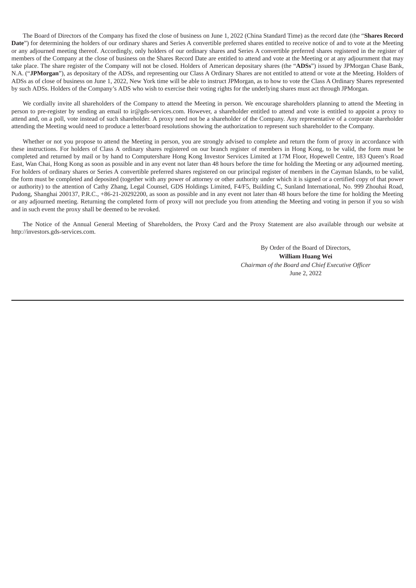The Board of Directors of the Company has fixed the close of business on June 1, 2022 (China Standard Time) as the record date (the "**Shares Record Date**") for determining the holders of our ordinary shares and Series A convertible preferred shares entitled to receive notice of and to vote at the Meeting or any adjourned meeting thereof. Accordingly, only holders of our ordinary shares and Series A convertible preferred shares registered in the register of members of the Company at the close of business on the Shares Record Date are entitled to attend and vote at the Meeting or at any adjournment that may take place. The share register of the Company will not be closed. Holders of American depositary shares (the "**ADSs**") issued by JPMorgan Chase Bank, N.A. ("**JPMorgan**"), as depositary of the ADSs, and representing our Class A Ordinary Shares are not entitled to attend or vote at the Meeting. Holders of ADSs as of close of business on June 1, 2022, New York time will be able to instruct JPMorgan, as to how to vote the Class A Ordinary Shares represented by such ADSs. Holders of the Company's ADS who wish to exercise their voting rights for the underlying shares must act through JPMorgan.

We cordially invite all shareholders of the Company to attend the Meeting in person. We encourage shareholders planning to attend the Meeting in person to pre-register by sending an email to ir@gds-services.com. However, a shareholder entitled to attend and vote is entitled to appoint a proxy to attend and, on a poll, vote instead of such shareholder. A proxy need not be a shareholder of the Company. Any representative of a corporate shareholder attending the Meeting would need to produce a letter/board resolutions showing the authorization to represent such shareholder to the Company.

Whether or not you propose to attend the Meeting in person, you are strongly advised to complete and return the form of proxy in accordance with these instructions. For holders of Class A ordinary shares registered on our branch register of members in Hong Kong, to be valid, the form must be completed and returned by mail or by hand to Computershare Hong Kong Investor Services Limited at 17M Floor, Hopewell Centre, 183 Queen's Road East, Wan Chai, Hong Kong as soon as possible and in any event not later than 48 hours before the time for holding the Meeting or any adjourned meeting. For holders of ordinary shares or Series A convertible preferred shares registered on our principal register of members in the Cayman Islands, to be valid, the form must be completed and deposited (together with any power of attorney or other authority under which it is signed or a certified copy of that power or authority) to the attention of Cathy Zhang, Legal Counsel, GDS Holdings Limited, F4/F5, Building C, Sunland International, No. 999 Zhouhai Road, Pudong, Shanghai 200137, P.R.C., +86-21-20292200, as soon as possible and in any event not later than 48 hours before the time for holding the Meeting or any adjourned meeting. Returning the completed form of proxy will not preclude you from attending the Meeting and voting in person if you so wish and in such event the proxy shall be deemed to be revoked.

The Notice of the Annual General Meeting of Shareholders, the Proxy Card and the Proxy Statement are also available through our website at http://investors.gds-services.com.

> By Order of the Board of Directors, **William Huang Wei** *Chairman of the Board and Chief Executive Officer* June 2, 2022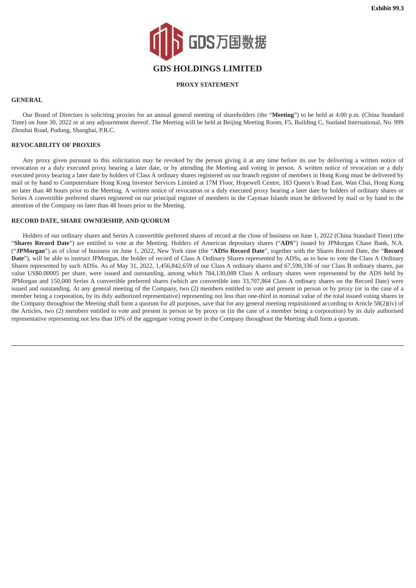

## **PROXY STATEMENT**

#### <span id="page-7-0"></span>**GENERAL**

Our Board of Directors is soliciting proxies for an annual general meeting of shareholders (the "**Meeting**") to be held at 4:00 p.m. (China Standard Time) on June 30, 2022 or at any adjournment thereof. The Meeting will be held at Beijing Meeting Room, F5, Building C, Sunland International, No. 999 Zhouhai Road, Pudong, Shanghai, P.R.C.

#### **REVOCABILITY OF PROXIES**

Any proxy given pursuant to this solicitation may be revoked by the person giving it at any time before its use by delivering a written notice of revocation or a duly executed proxy bearing a later date, or by attending the Meeting and voting in person. A written notice of revocation or a duly executed proxy bearing a later date by holders of Class A ordinary shares registered on our branch register of members in Hong Kong must be delivered by mail or by hand to Computershare Hong Kong Investor Services Limited at 17M Floor, Hopewell Centre, 183 Queen's Road East, Wan Chai, Hong Kong no later than 48 hours prior to the Meeting. A written notice of revocation or a duly executed proxy bearing a later date by holders of ordinary shares or Series A convertible preferred shares registered on our principal register of members in the Cayman Islands must be delivered by mail or by hand to the attention of the Company no later than 48 hours prior to the Meeting.

#### **RECORD DATE, SHARE OWNERSHIP, AND QUORUM**

Holders of our ordinary shares and Series A convertible preferred shares of record at the close of business on June 1, 2022 (China Standard Time) (the "**Shares Record Date**") are entitled to vote at the Meeting. Holders of American depositary shares ("**ADS**") issued by JPMorgan Chase Bank, N.A. ("**JPMorgan**") as of close of business on June 1, 2022, New York time (the "**ADSs Record Date**", together with the Shares Record Date, the "**Record Date**"), will be able to instruct JPMorgan, the holder of record of Class A Ordinary Shares represented by ADSs, as to how to vote the Class A Ordinary Shares represented by such ADSs. As of May 31, 2022, 1,456,842,659 of our Class A ordinary shares and 67,590,336 of our Class B ordinary shares, par value US\$0.00005 per share, were issued and outstanding, among which 784,130,088 Class A ordinary shares were represented by the ADS held by JPMorgan and 150,000 Series A convertible preferred shares (which are convertible into 33,707,864 Class A ordinary shares on the Record Date) were issued and outstanding. At any general meeting of the Company, two (2) members entitled to vote and present in person or by proxy (or in the case of a member being a corporation, by its duly authorized representative) representing not less than one-third in nominal value of the total issued voting shares in the Company throughout the Meeting shall form a quorum for all purposes, save that for any general meeting requisitioned according to Article 58(2)(iv) of the Articles, two (2) members entitled to vote and present in person or by proxy or (in the case of a member being a corporation) by its duly authorised representative representing not less than 10% of the aggregate voting power in the Company throughout the Meeting shall form a quorum.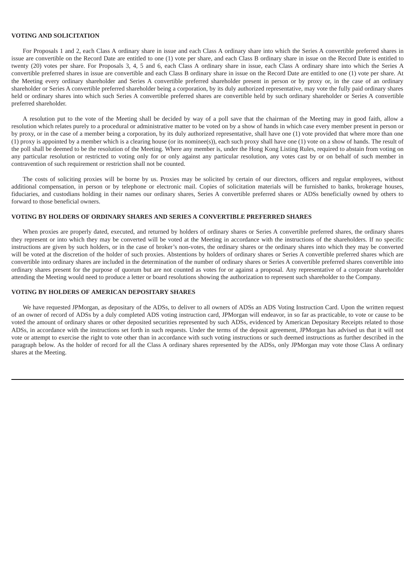## **VOTING AND SOLICITATION**

For Proposals 1 and 2, each Class A ordinary share in issue and each Class A ordinary share into which the Series A convertible preferred shares in issue are convertible on the Record Date are entitled to one (1) vote per share, and each Class B ordinary share in issue on the Record Date is entitled to twenty (20) votes per share. For Proposals 3, 4, 5 and 6, each Class A ordinary share in issue, each Class A ordinary share into which the Series A convertible preferred shares in issue are convertible and each Class B ordinary share in issue on the Record Date are entitled to one (1) vote per share. At the Meeting every ordinary shareholder and Series A convertible preferred shareholder present in person or by proxy or, in the case of an ordinary shareholder or Series A convertible preferred shareholder being a corporation, by its duly authorized representative, may vote the fully paid ordinary shares held or ordinary shares into which such Series A convertible preferred shares are convertible held by such ordinary shareholder or Series A convertible preferred shareholder.

A resolution put to the vote of the Meeting shall be decided by way of a poll save that the chairman of the Meeting may in good faith, allow a resolution which relates purely to a procedural or administrative matter to be voted on by a show of hands in which case every member present in person or by proxy, or in the case of a member being a corporation, by its duly authorized representative, shall have one (1) vote provided that where more than one (1) proxy is appointed by a member which is a clearing house (or its nominee(s)), each such proxy shall have one (1) vote on a show of hands. The result of the poll shall be deemed to be the resolution of the Meeting. Where any member is, under the Hong Kong Listing Rules, required to abstain from voting on any particular resolution or restricted to voting only for or only against any particular resolution, any votes cast by or on behalf of such member in contravention of such requirement or restriction shall not be counted.

The costs of soliciting proxies will be borne by us. Proxies may be solicited by certain of our directors, officers and regular employees, without additional compensation, in person or by telephone or electronic mail. Copies of solicitation materials will be furnished to banks, brokerage houses, fiduciaries, and custodians holding in their names our ordinary shares, Series A convertible preferred shares or ADSs beneficially owned by others to forward to those beneficial owners.

#### **VOTING BY HOLDERS OF ORDINARY SHARES AND SERIES A CONVERTIBLE PREFERRED SHARES**

When proxies are properly dated, executed, and returned by holders of ordinary shares or Series A convertible preferred shares, the ordinary shares they represent or into which they may be converted will be voted at the Meeting in accordance with the instructions of the shareholders. If no specific instructions are given by such holders, or in the case of broker's non-votes, the ordinary shares or the ordinary shares into which they may be converted will be voted at the discretion of the holder of such proxies. Abstentions by holders of ordinary shares or Series A convertible preferred shares which are convertible into ordinary shares are included in the determination of the number of ordinary shares or Series A convertible preferred shares convertible into ordinary shares present for the purpose of quorum but are not counted as votes for or against a proposal. Any representative of a corporate shareholder attending the Meeting would need to produce a letter or board resolutions showing the authorization to represent such shareholder to the Company.

#### **VOTING BY HOLDERS OF AMERICAN DEPOSITARY SHARES**

We have requested JPMorgan, as depositary of the ADSs, to deliver to all owners of ADSs an ADS Voting Instruction Card. Upon the written request of an owner of record of ADSs by a duly completed ADS voting instruction card, JPMorgan will endeavor, in so far as practicable, to vote or cause to be voted the amount of ordinary shares or other deposited securities represented by such ADSs, evidenced by American Depositary Receipts related to those ADSs, in accordance with the instructions set forth in such requests. Under the terms of the deposit agreement, JPMorgan has advised us that it will not vote or attempt to exercise the right to vote other than in accordance with such voting instructions or such deemed instructions as further described in the paragraph below. As the holder of record for all the Class A ordinary shares represented by the ADSs, only JPMorgan may vote those Class A ordinary shares at the Meeting.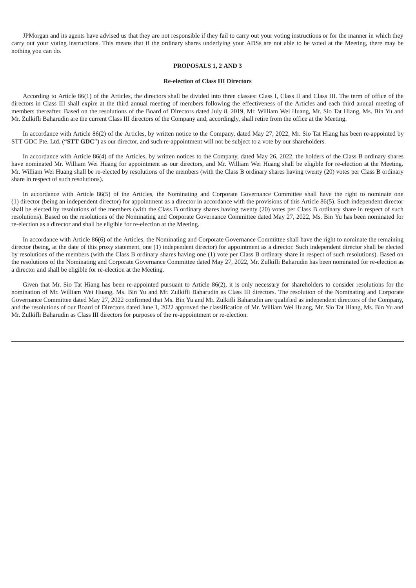JPMorgan and its agents have advised us that they are not responsible if they fail to carry out your voting instructions or for the manner in which they carry out your voting instructions. This means that if the ordinary shares underlying your ADSs are not able to be voted at the Meeting, there may be nothing you can do.

#### **PROPOSALS 1, 2 AND 3**

#### **Re-election of Class III Directors**

According to Article 86(1) of the Articles, the directors shall be divided into three classes: Class I, Class II and Class III. The term of office of the directors in Class III shall expire at the third annual meeting of members following the effectiveness of the Articles and each third annual meeting of members thereafter. Based on the resolutions of the Board of Directors dated July 8, 2019, Mr. William Wei Huang, Mr. Sio Tat Hiang, Ms. Bin Yu and Mr. Zulkifli Baharudin are the current Class III directors of the Company and, accordingly, shall retire from the office at the Meeting.

In accordance with Article 86(2) of the Articles, by written notice to the Company, dated May 27, 2022, Mr. Sio Tat Hiang has been re-appointed by STT GDC Pte. Ltd. ("**STT GDC**") as our director, and such re-appointment will not be subject to a vote by our shareholders.

In accordance with Article 86(4) of the Articles, by written notices to the Company, dated May 26, 2022, the holders of the Class B ordinary shares have nominated Mr. William Wei Huang for appointment as our directors, and Mr. William Wei Huang shall be eligible for re-election at the Meeting. Mr. William Wei Huang shall be re-elected by resolutions of the members (with the Class B ordinary shares having twenty (20) votes per Class B ordinary share in respect of such resolutions).

In accordance with Article 86(5) of the Articles, the Nominating and Corporate Governance Committee shall have the right to nominate one (1) director (being an independent director) for appointment as a director in accordance with the provisions of this Article 86(5). Such independent director shall be elected by resolutions of the members (with the Class B ordinary shares having twenty (20) votes per Class B ordinary share in respect of such resolutions). Based on the resolutions of the Nominating and Corporate Governance Committee dated May 27, 2022, Ms. Bin Yu has been nominated for re-election as a director and shall be eligible for re-election at the Meeting.

In accordance with Article 86(6) of the Articles, the Nominating and Corporate Governance Committee shall have the right to nominate the remaining director (being, at the date of this proxy statement, one (1) independent director) for appointment as a director. Such independent director shall be elected by resolutions of the members (with the Class B ordinary shares having one (1) vote per Class B ordinary share in respect of such resolutions). Based on the resolutions of the Nominating and Corporate Governance Committee dated May 27, 2022, Mr. Zulkifli Baharudin has been nominated for re-election as a director and shall be eligible for re-election at the Meeting.

Given that Mr. Sio Tat Hiang has been re-appointed pursuant to Article 86(2), it is only necessary for shareholders to consider resolutions for the nomination of Mr. William Wei Huang, Ms. Bin Yu and Mr. Zulkifli Baharudin as Class III directors. The resolution of the Nominating and Corporate Governance Committee dated May 27, 2022 confirmed that Ms. Bin Yu and Mr. Zulkifli Baharudin are qualified as independent directors of the Company, and the resolutions of our Board of Directors dated June 1, 2022 approved the classification of Mr. William Wei Huang, Mr. Sio Tat Hiang, Ms. Bin Yu and Mr. Zulkifli Baharudin as Class III directors for purposes of the re-appointment or re-election.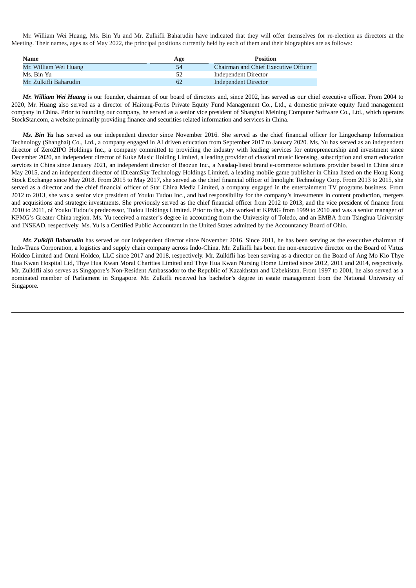Mr. William Wei Huang, Ms. Bin Yu and Mr. Zulkifli Baharudin have indicated that they will offer themselves for re-election as directors at the Meeting. Their names, ages as of May 2022, the principal positions currently held by each of them and their biographies are as follows:

| <b>Name</b>            | Age | <b>Position</b>                             |  |
|------------------------|-----|---------------------------------------------|--|
| Mr. William Wei Huang  | 54  | <b>Chairman and Chief Executive Officer</b> |  |
| Ms. Bin Yu             | 52  | Independent Director                        |  |
| Mr. Zulkifli Baharudin | 62  | Independent Director                        |  |

*Mr. William Wei Huang* is our founder, chairman of our board of directors and, since 2002, has served as our chief executive officer. From 2004 to 2020, Mr. Huang also served as a director of Haitong-Fortis Private Equity Fund Management Co., Ltd., a domestic private equity fund management company in China. Prior to founding our company, he served as a senior vice president of Shanghai Meining Computer Software Co., Ltd., which operates StockStar.com, a website primarily providing finance and securities related information and services in China.

*Ms. Bin Yu* has served as our independent director since November 2016. She served as the chief financial officer for Lingochamp Information Technology (Shanghai) Co., Ltd., a company engaged in AI driven education from September 2017 to January 2020. Ms. Yu has served as an independent director of Zero2IPO Holdings Inc., a company committed to providing the industry with leading services for entrepreneurship and investment since December 2020, an independent director of Kuke Music Holding Limited, a leading provider of classical music licensing, subscription and smart education services in China since January 2021, an independent director of Baozun Inc., a Nasdaq-listed brand e-commerce solutions provider based in China since May 2015, and an independent director of iDreamSky Technology Holdings Limited, a leading mobile game publisher in China listed on the Hong Kong Stock Exchange since May 2018. From 2015 to May 2017, she served as the chief financial officer of Innolight Technology Corp. From 2013 to 2015, she served as a director and the chief financial officer of Star China Media Limited, a company engaged in the entertainment TV programs business. From 2012 to 2013, she was a senior vice president of Youku Tudou Inc., and had responsibility for the company's investments in content production, mergers and acquisitions and strategic investments. She previously served as the chief financial officer from 2012 to 2013, and the vice president of finance from 2010 to 2011, of Youku Tudou's predecessor, Tudou Holdings Limited. Prior to that, she worked at KPMG from 1999 to 2010 and was a senior manager of KPMG's Greater China region. Ms. Yu received a master's degree in accounting from the University of Toledo, and an EMBA from Tsinghua University and INSEAD, respectively. Ms. Yu is a Certified Public Accountant in the United States admitted by the Accountancy Board of Ohio.

*Mr. Zulkifli Baharudin* has served as our independent director since November 2016. Since 2011, he has been serving as the executive chairman of Indo-Trans Corporation, a logistics and supply chain company across Indo-China. Mr. Zulkifli has been the non-executive director on the Board of Virtus Holdco Limited and Omni Holdco, LLC since 2017 and 2018, respectively. Mr. Zulkifli has been serving as a director on the Board of Ang Mo Kio Thye Hua Kwan Hospital Ltd, Thye Hua Kwan Moral Charities Limited and Thye Hua Kwan Nursing Home Limited since 2012, 2011 and 2014, respectively. Mr. Zulkifli also serves as Singapore's Non-Resident Ambassador to the Republic of Kazakhstan and Uzbekistan. From 1997 to 2001, he also served as a nominated member of Parliament in Singapore. Mr. Zulkifli received his bachelor's degree in estate management from the National University of Singapore.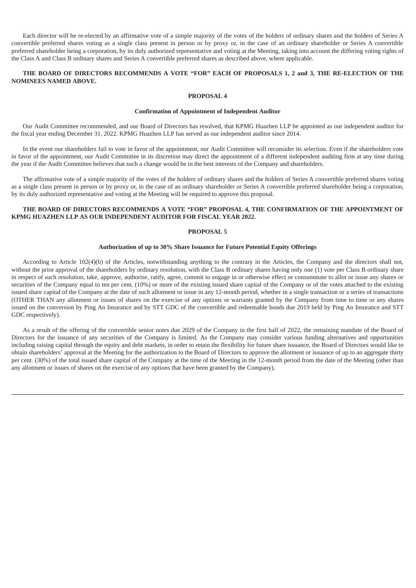Each director will be re-elected by an affirmative vote of a simple majority of the votes of the holders of ordinary shares and the holders of Series A convertible preferred shares voting as a single class present in person or by proxy or, in the case of an ordinary shareholder or Series A convertible preferred shareholder being a corporation, by its duly authorized representative and voting at the Meeting, taking into account the differing voting rights of the Class A and Class B ordinary shares and Series A convertible preferred shares as described above, where applicable.

## THE BOARD OF DIRECTORS RECOMMENDS A VOTE "FOR" EACH OF PROPOSALS 1, 2 and 3, THE RE-ELECTION OF THE **NOMINEES NAMED ABOVE.**

## **PROPOSAL 4**

#### **Confirmation of Appointment of Independent Auditor**

Our Audit Committee recommended, and our Board of Directors has resolved, that KPMG Huazhen LLP be appointed as our independent auditor for the fiscal year ending December 31, 2022. KPMG Huazhen LLP has served as our independent auditor since 2014.

In the event our shareholders fail to vote in favor of the appointment, our Audit Committee will reconsider its selection. Even if the shareholders vote in favor of the appointment, our Audit Committee in its discretion may direct the appointment of a different independent auditing firm at any time during the year if the Audit Committee believes that such a change would be in the best interests of the Company and shareholders.

The affirmative vote of a simple majority of the votes of the holders of ordinary shares and the holders of Series A convertible preferred shares voting as a single class present in person or by proxy or, in the case of an ordinary shareholder or Series A convertible preferred shareholder being a corporation, by its duly authorized representative and voting at the Meeting will be required to approve this proposal.

## **THE BOARD OF DIRECTORS RECOMMENDS A VOTE "FOR" PROPOSAL 4, THE CONFIRMATION OF THE APPOINTMENT OF KPMG HUAZHEN LLP AS OUR INDEPENDENT AUDITOR FOR FISCAL YEAR 2022.**

#### **PROPOSAL 5**

## **Authorization of up to 30% Share Issuance for Future Potential Equity Offerings**

According to Article 102(4)(b) of the Articles, notwithstanding anything to the contrary in the Articles, the Company and the directors shall not, without the prior approval of the shareholders by ordinary resolution, with the Class B ordinary shares having only one (1) vote per Class B ordinary share in respect of such resolution, take, approve, authorise, ratify, agree, commit to engage in or otherwise effect or consummate to allot or issue any shares or securities of the Company equal to ten per cent. (10%) or more of the existing issued share capital of the Company or of the votes attached to the existing issued share capital of the Company at the date of such allotment or issue in any 12-month period, whether in a single transaction or a series of transactions (OTHER THAN any allotment or issues of shares on the exercise of any options or warrants granted by the Company from time to time or any shares issued on the conversion by Ping An Insurance and by STT GDC of the convertible and redeemable bonds due 2019 held by Ping An Insurance and STT GDC respectively).

As a result of the offering of the convertible senior notes due 2029 of the Company in the first half of 2022, the remaining mandate of the Board of Directors for the issuance of any securities of the Company is limited. As the Company may consider various funding alternatives and opportunities including raising capital through the equity and debt markets, in order to retain the flexibility for future share issuance, the Board of Directors would like to obtain shareholders' approval at the Meeting for the authorization to the Board of Directors to approve the allotment or issuance of up to an aggregate thirty per cent. (30%) of the total issued share capital of the Company at the time of the Meeting in the 12-month period from the date of the Meeting (other than any allotment or issues of shares on the exercise of any options that have been granted by the Company).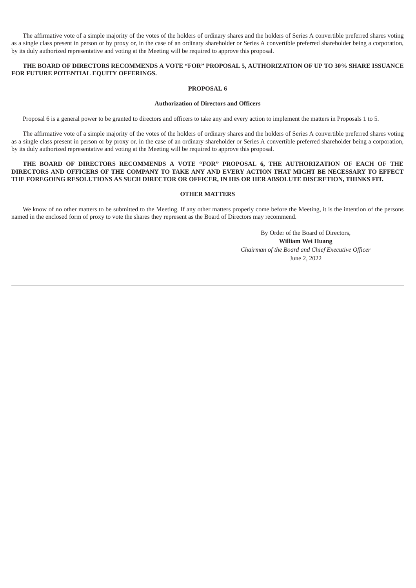The affirmative vote of a simple majority of the votes of the holders of ordinary shares and the holders of Series A convertible preferred shares voting as a single class present in person or by proxy or, in the case of an ordinary shareholder or Series A convertible preferred shareholder being a corporation, by its duly authorized representative and voting at the Meeting will be required to approve this proposal.

## **THE BOARD OF DIRECTORS RECOMMENDS A VOTE "FOR" PROPOSAL 5, AUTHORIZATION OF UP TO 30% SHARE ISSUANCE FOR FUTURE POTENTIAL EQUITY OFFERINGS.**

## **PROPOSAL 6**

#### **Authorization of Directors and Officers**

Proposal 6 is a general power to be granted to directors and officers to take any and every action to implement the matters in Proposals 1 to 5.

The affirmative vote of a simple majority of the votes of the holders of ordinary shares and the holders of Series A convertible preferred shares voting as a single class present in person or by proxy or, in the case of an ordinary shareholder or Series A convertible preferred shareholder being a corporation, by its duly authorized representative and voting at the Meeting will be required to approve this proposal.

## **THE BOARD OF DIRECTORS RECOMMENDS A VOTE "FOR" PROPOSAL 6, THE AUTHORIZATION OF EACH OF THE** DIRECTORS AND OFFICERS OF THE COMPANY TO TAKE ANY AND EVERY ACTION THAT MIGHT BE NECESSARY TO EFFECT **THE FOREGOING RESOLUTIONS AS SUCH DIRECTOR OR OFFICER, IN HIS OR HER ABSOLUTE DISCRETION, THINKS FIT.**

## **OTHER MATTERS**

We know of no other matters to be submitted to the Meeting. If any other matters properly come before the Meeting, it is the intention of the persons named in the enclosed form of proxy to vote the shares they represent as the Board of Directors may recommend.

> By Order of the Board of Directors, **William Wei Huang** *Chairman of the Board and Chief Executive Officer* June 2, 2022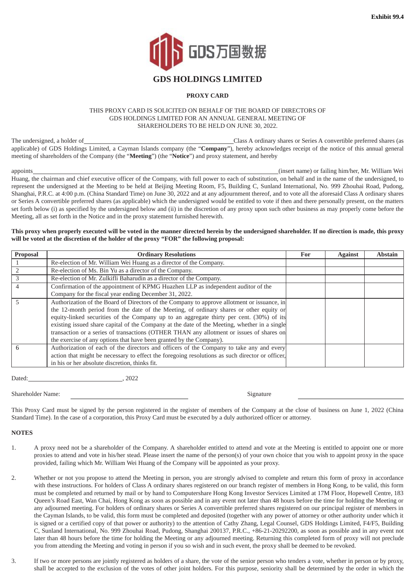

## **PROXY CARD**

#### <span id="page-13-0"></span>THIS PROXY CARD IS SOLICITED ON BEHALF OF THE BOARD OF DIRECTORS OF GDS HOLDINGS LIMITED FOR AN ANNUAL GENERAL MEETING OF SHAREHOLDERS TO BE HELD ON JUNE 30, 2022.

The undersigned, a holder of Class A ordinary shares or Series A convertible preferred shares (as applicable) of GDS Holdings Limited, a Cayman Islands company (the "**Company**"), hereby acknowledges receipt of the notice of this annual general meeting of shareholders of the Company (the "**Meeting**") (the "**Notice**") and proxy statement, and hereby

appoints (insert name) or failing him/her, Mr. William Wei Huang, the chairman and chief executive officer of the Company, with full power to each of substitution, on behalf and in the name of the undersigned, to represent the undersigned at the Meeting to be held at Beijing Meeting Room, F5, Building C, Sunland International, No. 999 Zhouhai Road, Pudong, Shanghai, P.R.C. at 4:00 p.m. (China Standard Time) on June 30, 2022 and at any adjournment thereof, and to vote all the aforesaid Class A ordinary shares or Series A convertible preferred shares (as applicable) which the undersigned would be entitled to vote if then and there personally present, on the matters set forth below (i) as specified by the undersigned below and (ii) in the discretion of any proxy upon such other business as may properly come before the Meeting, all as set forth in the Notice and in the proxy statement furnished herewith.

## This proxy when properly executed will be voted in the manner directed herein by the undersigned shareholder. If no direction is made, this proxy **will be voted at the discretion of the holder of the proxy "FOR" the following proposal:**

| Proposal | <b>Ordinary Resolutions</b>                                                                     | For | <b>Against</b> | <b>Abstain</b> |
|----------|-------------------------------------------------------------------------------------------------|-----|----------------|----------------|
|          | Re-election of Mr. William Wei Huang as a director of the Company.                              |     |                |                |
|          | Re-election of Ms. Bin Yu as a director of the Company.                                         |     |                |                |
|          | Re-election of Mr. Zulkifli Baharudin as a director of the Company.                             |     |                |                |
|          | Confirmation of the appointment of KPMG Huazhen LLP as independent auditor of the               |     |                |                |
|          | Company for the fiscal year ending December 31, 2022.                                           |     |                |                |
|          | Authorization of the Board of Directors of the Company to approve allotment or issuance, in     |     |                |                |
|          | the 12-month period from the date of the Meeting, of ordinary shares or other equity or         |     |                |                |
|          | equity-linked securities of the Company up to an aggregate thirty per cent. (30%) of its        |     |                |                |
|          | existing issued share capital of the Company at the date of the Meeting, whether in a single    |     |                |                |
|          | transaction or a series of transactions (OTHER THAN any allotment or issues of shares on        |     |                |                |
|          | the exercise of any options that have been granted by the Company).                             |     |                |                |
| 6        | Authorization of each of the directors and officers of the Company to take any and every        |     |                |                |
|          | action that might be necessary to effect the foregoing resolutions as such director or officer, |     |                |                |
|          | in his or her absolute discretion, thinks fit.                                                  |     |                |                |

Dated: , 2022

Shareholder Name: Signature

This Proxy Card must be signed by the person registered in the register of members of the Company at the close of business on June 1, 2022 (China Standard Time). In the case of a corporation, this Proxy Card must be executed by a duly authorized officer or attorney.

## **NOTES**

- 1. A proxy need not be a shareholder of the Company. A shareholder entitled to attend and vote at the Meeting is entitled to appoint one or more proxies to attend and vote in his/her stead. Please insert the name of the person(s) of your own choice that you wish to appoint proxy in the space provided, failing which Mr. William Wei Huang of the Company will be appointed as your proxy.
- 2. Whether or not you propose to attend the Meeting in person, you are strongly advised to complete and return this form of proxy in accordance with these instructions. For holders of Class A ordinary shares registered on our branch register of members in Hong Kong, to be valid, this form must be completed and returned by mail or by hand to Computershare Hong Kong Investor Services Limited at 17M Floor, Hopewell Centre, 183 Queen's Road East, Wan Chai, Hong Kong as soon as possible and in any event not later than 48 hours before the time for holding the Meeting or any adjourned meeting. For holders of ordinary shares or Series A convertible preferred shares registered on our principal register of members in the Cayman Islands, to be valid, this form must be completed and deposited (together with any power of attorney or other authority under which it is signed or a certified copy of that power or authority) to the attention of Cathy Zhang, Legal Counsel, GDS Holdings Limited, F4/F5, Building C, Sunland International, No. 999 Zhouhai Road, Pudong, Shanghai 200137, P.R.C., +86-21-20292200, as soon as possible and in any event not later than 48 hours before the time for holding the Meeting or any adjourned meeting. Returning this completed form of proxy will not preclude you from attending the Meeting and voting in person if you so wish and in such event, the proxy shall be deemed to be revoked.
- 3. If two or more persons are jointly registered as holders of a share, the vote of the senior person who tenders a vote, whether in person or by proxy, shall be accepted to the exclusion of the votes of other joint holders. For this purpose, seniority shall be determined by the order in which the